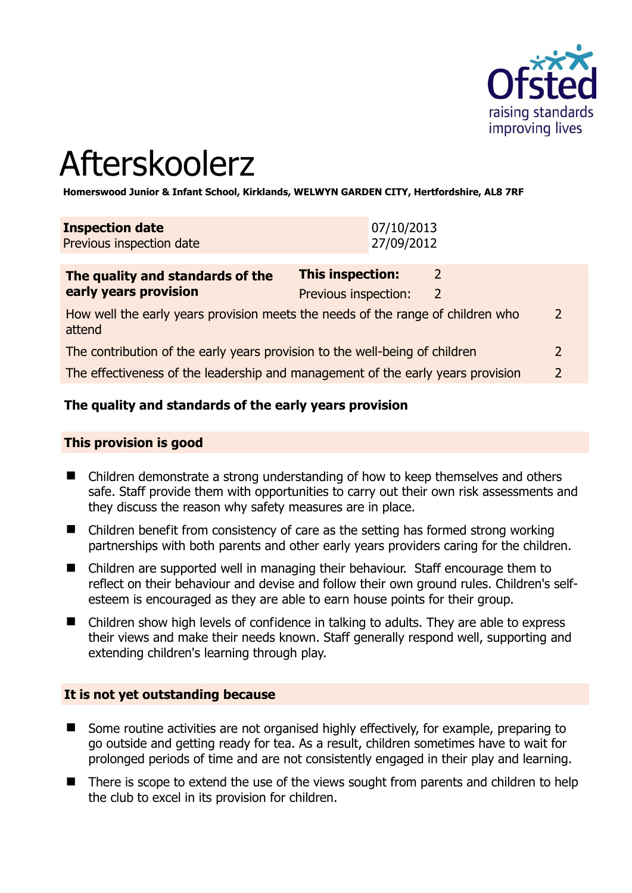

# Afterskoolerz

**Homerswood Junior & Infant School, Kirklands, WELWYN GARDEN CITY, Hertfordshire, AL8 7RF** 

| <b>Inspection date</b><br>Previous inspection date        | 07/10/2013<br>27/09/2012                        |               |  |
|-----------------------------------------------------------|-------------------------------------------------|---------------|--|
| The quality and standards of the<br>early years provision | <b>This inspection:</b><br>Previous inspection: | $\mathcal{L}$ |  |

How well the early years provision meets the needs of the range of children who attend 2 The contribution of the early years provision to the well-being of children 2

The effectiveness of the leadership and management of the early years provision 2

#### **The quality and standards of the early years provision**

#### **This provision is good**

- Children demonstrate a strong understanding of how to keep themselves and others safe. Staff provide them with opportunities to carry out their own risk assessments and they discuss the reason why safety measures are in place.
- Children benefit from consistency of care as the setting has formed strong working partnerships with both parents and other early years providers caring for the children.
- Children are supported well in managing their behaviour. Staff encourage them to reflect on their behaviour and devise and follow their own ground rules. Children's selfesteem is encouraged as they are able to earn house points for their group.
- Children show high levels of confidence in talking to adults. They are able to express their views and make their needs known. Staff generally respond well, supporting and extending children's learning through play.

#### **It is not yet outstanding because**

- Some routine activities are not organised highly effectively, for example, preparing to go outside and getting ready for tea. As a result, children sometimes have to wait for prolonged periods of time and are not consistently engaged in their play and learning.
- There is scope to extend the use of the views sought from parents and children to help the club to excel in its provision for children.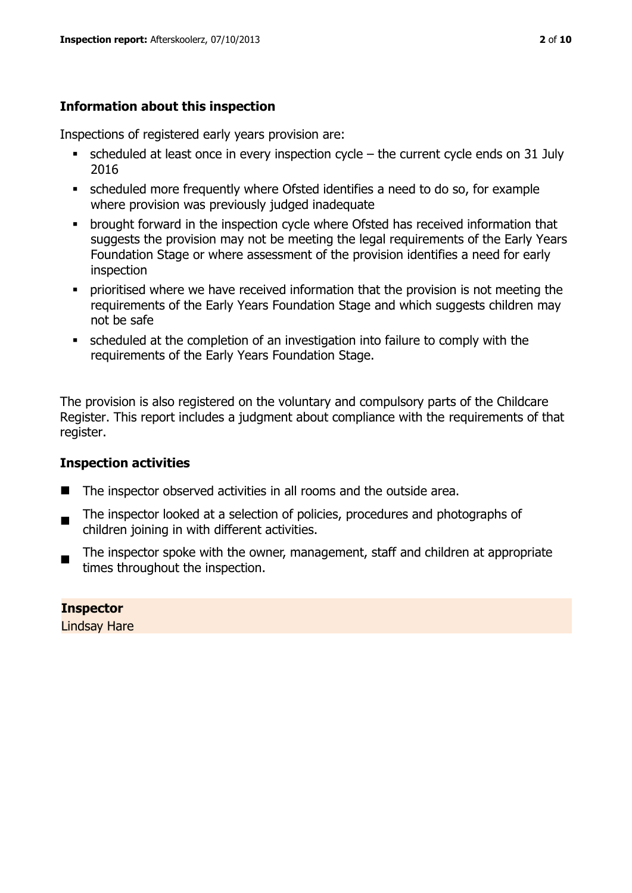# **Information about this inspection**

Inspections of registered early years provision are:

- $\bullet$  scheduled at least once in every inspection cycle the current cycle ends on 31 July 2016
- scheduled more frequently where Ofsted identifies a need to do so, for example where provision was previously judged inadequate
- **•** brought forward in the inspection cycle where Ofsted has received information that suggests the provision may not be meeting the legal requirements of the Early Years Foundation Stage or where assessment of the provision identifies a need for early inspection
- **•** prioritised where we have received information that the provision is not meeting the requirements of the Early Years Foundation Stage and which suggests children may not be safe
- scheduled at the completion of an investigation into failure to comply with the requirements of the Early Years Foundation Stage.

The provision is also registered on the voluntary and compulsory parts of the Childcare Register. This report includes a judgment about compliance with the requirements of that register.

# **Inspection activities**

- The inspector observed activities in all rooms and the outside area.
- . The inspector looked at a selection of policies, procedures and photographs of children joining in with different activities.
- The inspector spoke with the owner, management, staff and children at appropriate times throughout the inspection.

# **Inspector**

Lindsay Hare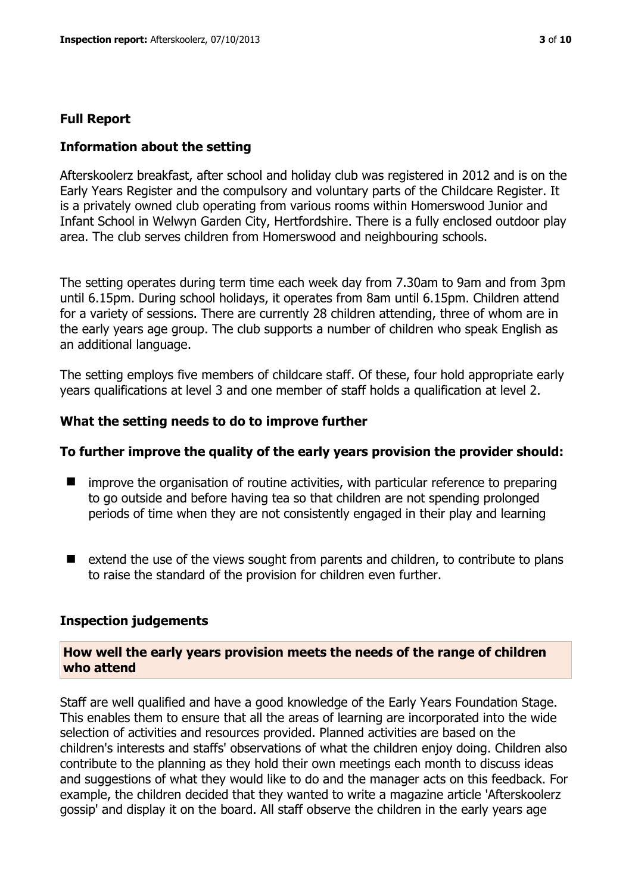#### **Full Report**

#### **Information about the setting**

Afterskoolerz breakfast, after school and holiday club was registered in 2012 and is on the Early Years Register and the compulsory and voluntary parts of the Childcare Register. It is a privately owned club operating from various rooms within Homerswood Junior and Infant School in Welwyn Garden City, Hertfordshire. There is a fully enclosed outdoor play area. The club serves children from Homerswood and neighbouring schools.

The setting operates during term time each week day from 7.30am to 9am and from 3pm until 6.15pm. During school holidays, it operates from 8am until 6.15pm. Children attend for a variety of sessions. There are currently 28 children attending, three of whom are in the early years age group. The club supports a number of children who speak English as an additional language.

The setting employs five members of childcare staff. Of these, four hold appropriate early years qualifications at level 3 and one member of staff holds a qualification at level 2.

#### **What the setting needs to do to improve further**

#### **To further improve the quality of the early years provision the provider should:**

- $\blacksquare$  improve the organisation of routine activities, with particular reference to preparing to go outside and before having tea so that children are not spending prolonged periods of time when they are not consistently engaged in their play and learning
- $\blacksquare$  extend the use of the views sought from parents and children, to contribute to plans to raise the standard of the provision for children even further.

#### **Inspection judgements**

#### **How well the early years provision meets the needs of the range of children who attend**

Staff are well qualified and have a good knowledge of the Early Years Foundation Stage. This enables them to ensure that all the areas of learning are incorporated into the wide selection of activities and resources provided. Planned activities are based on the children's interests and staffs' observations of what the children enjoy doing. Children also contribute to the planning as they hold their own meetings each month to discuss ideas and suggestions of what they would like to do and the manager acts on this feedback. For example, the children decided that they wanted to write a magazine article 'Afterskoolerz gossip' and display it on the board. All staff observe the children in the early years age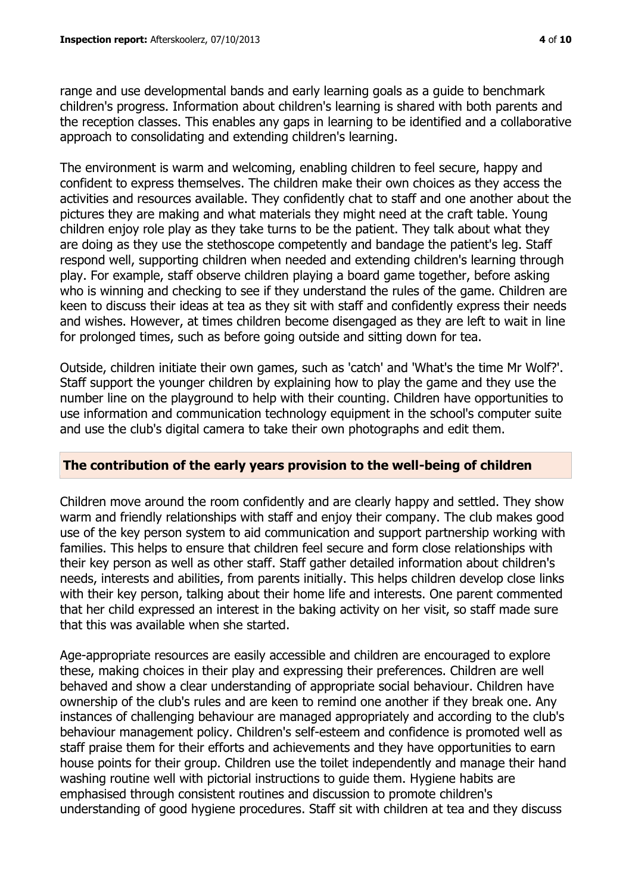range and use developmental bands and early learning goals as a guide to benchmark children's progress. Information about children's learning is shared with both parents and the reception classes. This enables any gaps in learning to be identified and a collaborative approach to consolidating and extending children's learning.

The environment is warm and welcoming, enabling children to feel secure, happy and confident to express themselves. The children make their own choices as they access the activities and resources available. They confidently chat to staff and one another about the pictures they are making and what materials they might need at the craft table. Young children enjoy role play as they take turns to be the patient. They talk about what they are doing as they use the stethoscope competently and bandage the patient's leg. Staff respond well, supporting children when needed and extending children's learning through play. For example, staff observe children playing a board game together, before asking who is winning and checking to see if they understand the rules of the game. Children are keen to discuss their ideas at tea as they sit with staff and confidently express their needs and wishes. However, at times children become disengaged as they are left to wait in line for prolonged times, such as before going outside and sitting down for tea.

Outside, children initiate their own games, such as 'catch' and 'What's the time Mr Wolf?'. Staff support the younger children by explaining how to play the game and they use the number line on the playground to help with their counting. Children have opportunities to use information and communication technology equipment in the school's computer suite and use the club's digital camera to take their own photographs and edit them.

# **The contribution of the early years provision to the well-being of children**

Children move around the room confidently and are clearly happy and settled. They show warm and friendly relationships with staff and enjoy their company. The club makes good use of the key person system to aid communication and support partnership working with families. This helps to ensure that children feel secure and form close relationships with their key person as well as other staff. Staff gather detailed information about children's needs, interests and abilities, from parents initially. This helps children develop close links with their key person, talking about their home life and interests. One parent commented that her child expressed an interest in the baking activity on her visit, so staff made sure that this was available when she started.

Age-appropriate resources are easily accessible and children are encouraged to explore these, making choices in their play and expressing their preferences. Children are well behaved and show a clear understanding of appropriate social behaviour. Children have ownership of the club's rules and are keen to remind one another if they break one. Any instances of challenging behaviour are managed appropriately and according to the club's behaviour management policy. Children's self-esteem and confidence is promoted well as staff praise them for their efforts and achievements and they have opportunities to earn house points for their group. Children use the toilet independently and manage their hand washing routine well with pictorial instructions to guide them. Hygiene habits are emphasised through consistent routines and discussion to promote children's understanding of good hygiene procedures. Staff sit with children at tea and they discuss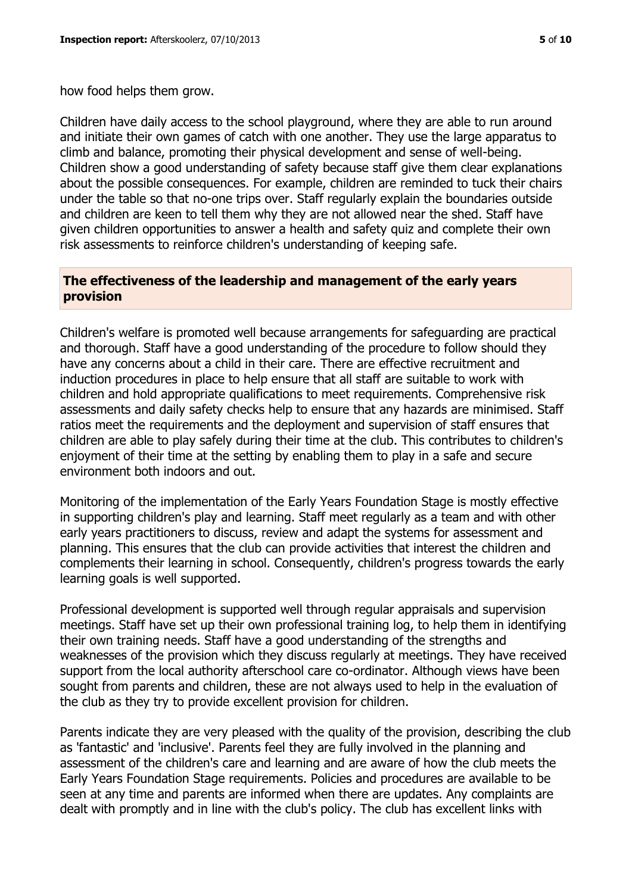how food helps them grow.

Children have daily access to the school playground, where they are able to run around and initiate their own games of catch with one another. They use the large apparatus to climb and balance, promoting their physical development and sense of well-being. Children show a good understanding of safety because staff give them clear explanations about the possible consequences. For example, children are reminded to tuck their chairs under the table so that no-one trips over. Staff regularly explain the boundaries outside and children are keen to tell them why they are not allowed near the shed. Staff have given children opportunities to answer a health and safety quiz and complete their own risk assessments to reinforce children's understanding of keeping safe.

## **The effectiveness of the leadership and management of the early years provision**

Children's welfare is promoted well because arrangements for safeguarding are practical and thorough. Staff have a good understanding of the procedure to follow should they have any concerns about a child in their care. There are effective recruitment and induction procedures in place to help ensure that all staff are suitable to work with children and hold appropriate qualifications to meet requirements. Comprehensive risk assessments and daily safety checks help to ensure that any hazards are minimised. Staff ratios meet the requirements and the deployment and supervision of staff ensures that children are able to play safely during their time at the club. This contributes to children's enjoyment of their time at the setting by enabling them to play in a safe and secure environment both indoors and out.

Monitoring of the implementation of the Early Years Foundation Stage is mostly effective in supporting children's play and learning. Staff meet regularly as a team and with other early years practitioners to discuss, review and adapt the systems for assessment and planning. This ensures that the club can provide activities that interest the children and complements their learning in school. Consequently, children's progress towards the early learning goals is well supported.

Professional development is supported well through regular appraisals and supervision meetings. Staff have set up their own professional training log, to help them in identifying their own training needs. Staff have a good understanding of the strengths and weaknesses of the provision which they discuss regularly at meetings. They have received support from the local authority afterschool care co-ordinator. Although views have been sought from parents and children, these are not always used to help in the evaluation of the club as they try to provide excellent provision for children.

Parents indicate they are very pleased with the quality of the provision, describing the club as 'fantastic' and 'inclusive'. Parents feel they are fully involved in the planning and assessment of the children's care and learning and are aware of how the club meets the Early Years Foundation Stage requirements. Policies and procedures are available to be seen at any time and parents are informed when there are updates. Any complaints are dealt with promptly and in line with the club's policy. The club has excellent links with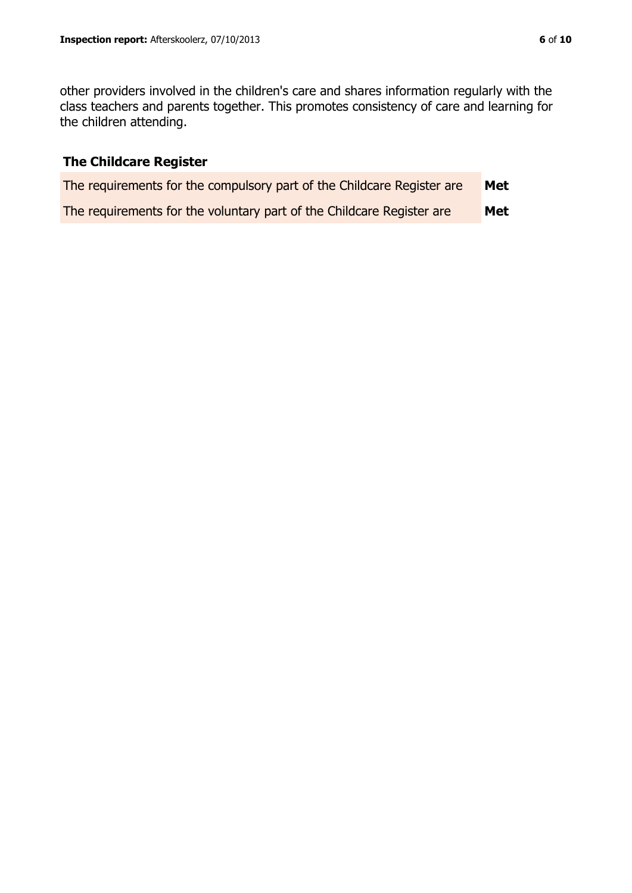other providers involved in the children's care and shares information regularly with the class teachers and parents together. This promotes consistency of care and learning for the children attending.

# **The Childcare Register**

| The requirements for the compulsory part of the Childcare Register are | Met |
|------------------------------------------------------------------------|-----|
| The requirements for the voluntary part of the Childcare Register are  | Met |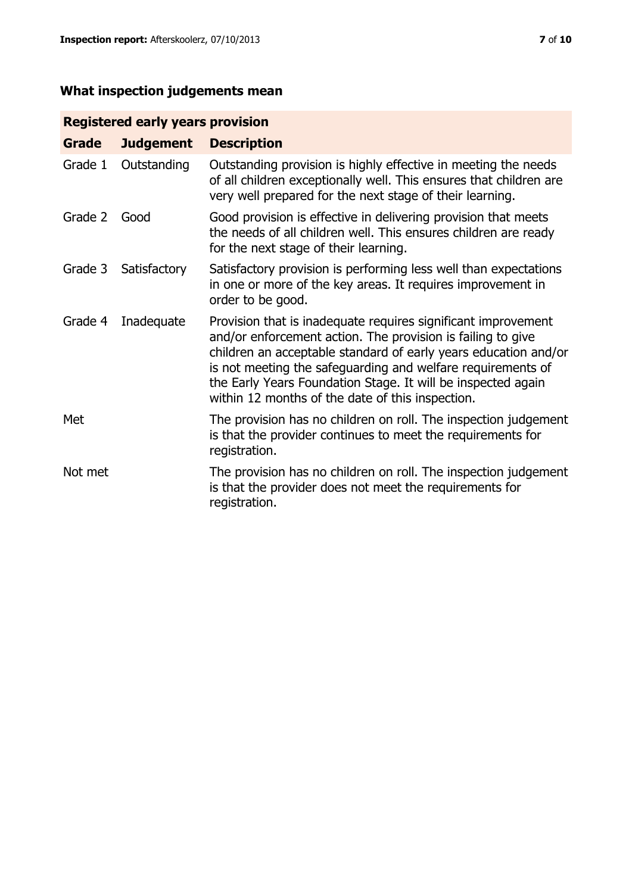# **What inspection judgements mean**

# **Registered early years provision**

| <b>Grade</b> | <b>Judgement</b> | <b>Description</b>                                                                                                                                                                                                                                                                                                                                                                 |
|--------------|------------------|------------------------------------------------------------------------------------------------------------------------------------------------------------------------------------------------------------------------------------------------------------------------------------------------------------------------------------------------------------------------------------|
| Grade 1      | Outstanding      | Outstanding provision is highly effective in meeting the needs<br>of all children exceptionally well. This ensures that children are<br>very well prepared for the next stage of their learning.                                                                                                                                                                                   |
| Grade 2      | Good             | Good provision is effective in delivering provision that meets<br>the needs of all children well. This ensures children are ready<br>for the next stage of their learning.                                                                                                                                                                                                         |
| Grade 3      | Satisfactory     | Satisfactory provision is performing less well than expectations<br>in one or more of the key areas. It requires improvement in<br>order to be good.                                                                                                                                                                                                                               |
| Grade 4      | Inadequate       | Provision that is inadequate requires significant improvement<br>and/or enforcement action. The provision is failing to give<br>children an acceptable standard of early years education and/or<br>is not meeting the safeguarding and welfare requirements of<br>the Early Years Foundation Stage. It will be inspected again<br>within 12 months of the date of this inspection. |
| Met          |                  | The provision has no children on roll. The inspection judgement<br>is that the provider continues to meet the requirements for<br>registration.                                                                                                                                                                                                                                    |
| Not met      |                  | The provision has no children on roll. The inspection judgement<br>is that the provider does not meet the requirements for<br>registration.                                                                                                                                                                                                                                        |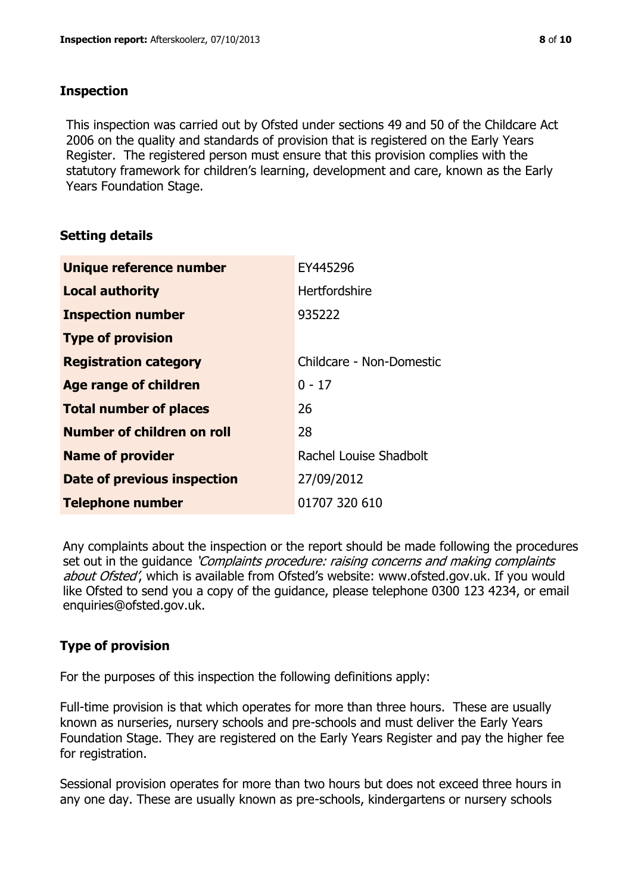## **Inspection**

This inspection was carried out by Ofsted under sections 49 and 50 of the Childcare Act 2006 on the quality and standards of provision that is registered on the Early Years Register. The registered person must ensure that this provision complies with the statutory framework for children's learning, development and care, known as the Early Years Foundation Stage.

# **Setting details**

| Unique reference number       | EY445296                 |
|-------------------------------|--------------------------|
| <b>Local authority</b>        | Hertfordshire            |
| <b>Inspection number</b>      | 935222                   |
| <b>Type of provision</b>      |                          |
| <b>Registration category</b>  | Childcare - Non-Domestic |
| Age range of children         | $0 - 17$                 |
| <b>Total number of places</b> | 26                       |
| Number of children on roll    | 28                       |
| <b>Name of provider</b>       | Rachel Louise Shadbolt   |
| Date of previous inspection   | 27/09/2012               |
| <b>Telephone number</b>       | 01707 320 610            |

Any complaints about the inspection or the report should be made following the procedures set out in the guidance *'Complaints procedure: raising concerns and making complaints* about Ofsted', which is available from Ofsted's website: www.ofsted.gov.uk. If you would like Ofsted to send you a copy of the guidance, please telephone 0300 123 4234, or email enquiries@ofsted.gov.uk.

# **Type of provision**

For the purposes of this inspection the following definitions apply:

Full-time provision is that which operates for more than three hours. These are usually known as nurseries, nursery schools and pre-schools and must deliver the Early Years Foundation Stage. They are registered on the Early Years Register and pay the higher fee for registration.

Sessional provision operates for more than two hours but does not exceed three hours in any one day. These are usually known as pre-schools, kindergartens or nursery schools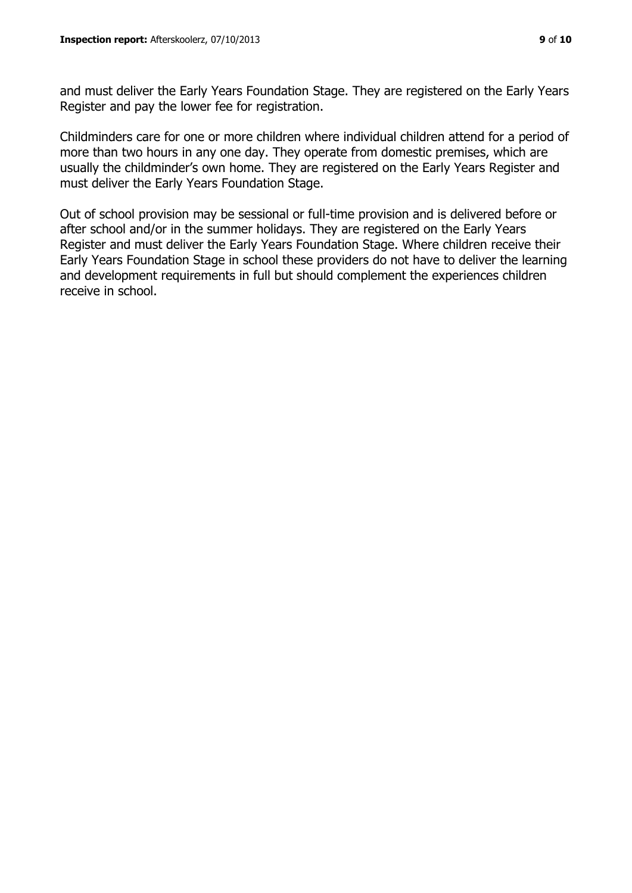and must deliver the Early Years Foundation Stage. They are registered on the Early Years Register and pay the lower fee for registration.

Childminders care for one or more children where individual children attend for a period of more than two hours in any one day. They operate from domestic premises, which are usually the childminder's own home. They are registered on the Early Years Register and must deliver the Early Years Foundation Stage.

Out of school provision may be sessional or full-time provision and is delivered before or after school and/or in the summer holidays. They are registered on the Early Years Register and must deliver the Early Years Foundation Stage. Where children receive their Early Years Foundation Stage in school these providers do not have to deliver the learning and development requirements in full but should complement the experiences children receive in school.